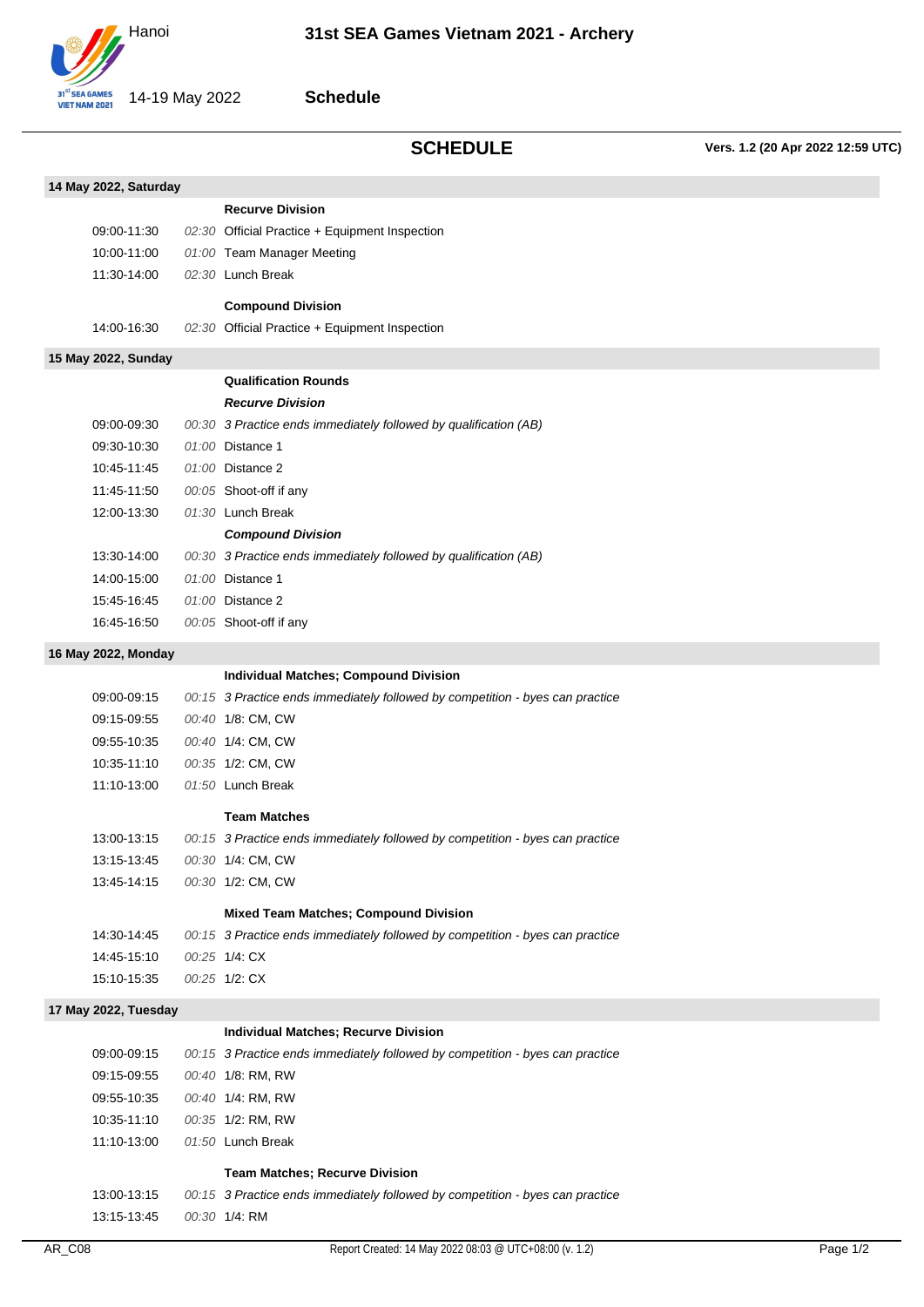

## **Schedule**

**SCHEDULE Vers. 1.2 (20 Apr 2022 12:59 UTC)**

| 14 May 2022, Saturday |  |                                                                                              |  |  |
|-----------------------|--|----------------------------------------------------------------------------------------------|--|--|
|                       |  | <b>Recurve Division</b>                                                                      |  |  |
| 09:00-11:30           |  | 02:30 Official Practice + Equipment Inspection                                               |  |  |
| 10:00-11:00           |  | 01:00 Team Manager Meeting                                                                   |  |  |
| 11:30-14:00           |  | 02:30 Lunch Break                                                                            |  |  |
|                       |  | <b>Compound Division</b>                                                                     |  |  |
| 14:00-16:30           |  | 02:30 Official Practice + Equipment Inspection                                               |  |  |
|                       |  |                                                                                              |  |  |
| 15 May 2022, Sunday   |  | <b>Qualification Rounds</b>                                                                  |  |  |
|                       |  | <b>Recurve Division</b>                                                                      |  |  |
| 09:00-09:30           |  | 00:30 3 Practice ends immediately followed by qualification (AB)                             |  |  |
| 09:30-10:30           |  | 01:00 Distance 1                                                                             |  |  |
| 10:45-11:45           |  | 01:00 Distance 2                                                                             |  |  |
| 11:45-11:50           |  | 00:05 Shoot-off if any                                                                       |  |  |
| 12:00-13:30           |  | 01:30 Lunch Break                                                                            |  |  |
|                       |  |                                                                                              |  |  |
| 13:30-14:00           |  | <b>Compound Division</b><br>00:30 3 Practice ends immediately followed by qualification (AB) |  |  |
| 14:00-15:00           |  | 01:00 Distance 1                                                                             |  |  |
|                       |  |                                                                                              |  |  |
| 15:45-16:45           |  | 01:00 Distance 2                                                                             |  |  |
| 16:45-16:50           |  | 00:05 Shoot-off if any                                                                       |  |  |
| 16 May 2022, Monday   |  |                                                                                              |  |  |
|                       |  | <b>Individual Matches; Compound Division</b>                                                 |  |  |
| 09:00-09:15           |  | 00:15 3 Practice ends immediately followed by competition - byes can practice                |  |  |
| 09:15-09:55           |  | 00:40 1/8: CM, CW                                                                            |  |  |
| 09:55-10:35           |  | 00:40 1/4: CM, CW                                                                            |  |  |
| 10:35-11:10           |  | 00:35 1/2: CM, CW                                                                            |  |  |
| 11:10-13:00           |  | 01:50 Lunch Break                                                                            |  |  |
|                       |  | <b>Team Matches</b>                                                                          |  |  |
| 13:00-13:15           |  | 00:15 3 Practice ends immediately followed by competition - byes can practice                |  |  |
| 13:15-13:45           |  | 00:30 1/4: CM, CW                                                                            |  |  |
| 13:45-14:15           |  | 00:30 1/2: CM, CW                                                                            |  |  |
|                       |  | <b>Mixed Team Matches; Compound Division</b>                                                 |  |  |
| 14:30-14:45           |  | 00:15 3 Practice ends immediately followed by competition - byes can practice                |  |  |
| 14:45-15:10           |  | 00:25 1/4: CX                                                                                |  |  |
| 15:10-15:35           |  | 00:25 1/2: CX                                                                                |  |  |
|                       |  |                                                                                              |  |  |
| 17 May 2022, Tuesday  |  |                                                                                              |  |  |
|                       |  | <b>Individual Matches; Recurve Division</b>                                                  |  |  |
| 09:00-09:15           |  | 00:15 3 Practice ends immediately followed by competition - byes can practice                |  |  |
| 09:15-09:55           |  | 00:40 1/8: RM, RW                                                                            |  |  |
| 09:55-10:35           |  | 00:40 1/4: RM, RW                                                                            |  |  |
| 10:35-11:10           |  | 00:35 1/2: RM, RW                                                                            |  |  |
| 11:10-13:00           |  | 01:50 Lunch Break                                                                            |  |  |
|                       |  | <b>Team Matches; Recurve Division</b>                                                        |  |  |
| 13:00-13:15           |  | 00:15 3 Practice ends immediately followed by competition - byes can practice                |  |  |
| 13:15-13:45           |  | 00:30 1/4: RM                                                                                |  |  |